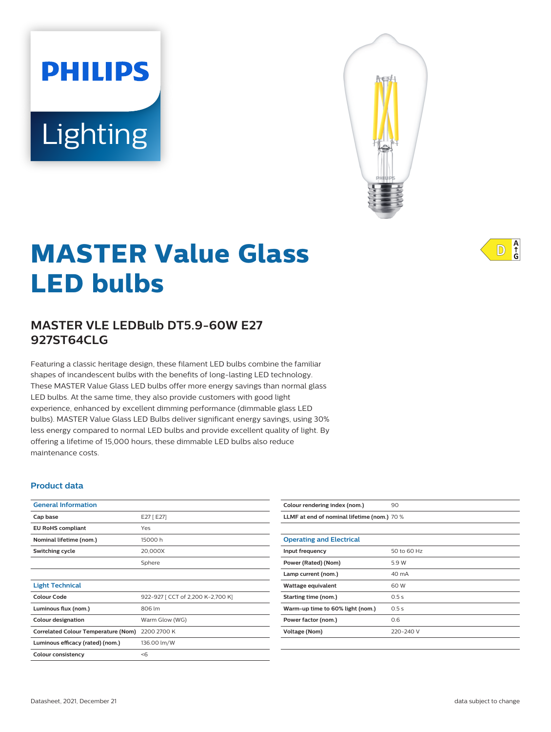# Lighting

**PHILIPS** 



# **MASTER Value Glass LED bulbs**

# **MASTER VLE LEDBulb DT5.9-60W E27 927ST64CLG**

Featuring a classic heritage design, these filament LED bulbs combine the familiar shapes of incandescent bulbs with the benefits of long-lasting LED technology. These MASTER Value Glass LED bulbs offer more energy savings than normal glass LED bulbs. At the same time, they also provide customers with good light experience, enhanced by excellent dimming performance (dimmable glass LED bulbs). MASTER Value Glass LED Bulbs deliver significant energy savings, using 30% less energy compared to normal LED bulbs and provide excellent quality of light. By offering a lifetime of 15,000 hours, these dimmable LED bulbs also reduce maintenance costs.

#### **Product data**

| <b>General Information</b>                 |                                   |
|--------------------------------------------|-----------------------------------|
| Cap base                                   | E27 [ E27]                        |
| <b>EU RoHS compliant</b>                   | Yes                               |
| Nominal lifetime (nom.)                    | 15000 h                           |
| Switching cycle                            | 20,000X                           |
|                                            | Sphere                            |
|                                            |                                   |
| <b>Light Technical</b>                     |                                   |
| Colour Code                                | 922-927 [ CCT of 2,200 K-2,700 K] |
| Luminous flux (nom.)                       | 806 lm                            |
| <b>Colour designation</b>                  | Warm Glow (WG)                    |
| <b>Correlated Colour Temperature (Nom)</b> | 2200 2700 K                       |
| Luminous efficacy (rated) (nom.)           | 136.00 lm/W                       |
| <b>Colour consistency</b>                  | $<$ 6                             |
|                                            |                                   |

| Colour rendering index (nom.)               | 90          |  |
|---------------------------------------------|-------------|--|
| LLMF at end of nominal lifetime (nom.) 70 % |             |  |
|                                             |             |  |
| <b>Operating and Electrical</b>             |             |  |
| Input frequency                             | 50 to 60 Hz |  |
| Power (Rated) (Nom)                         | 5.9 W       |  |
| Lamp current (nom.)                         | 40 mA       |  |
| Wattage equivalent                          | 60 W        |  |
| Starting time (nom.)                        | 0.5s        |  |
| Warm-up time to 60% light (nom.)            | 0.5s        |  |
| Power factor (nom.)                         | 0.6         |  |
| Voltage (Nom)                               | 220-240 V   |  |
|                                             |             |  |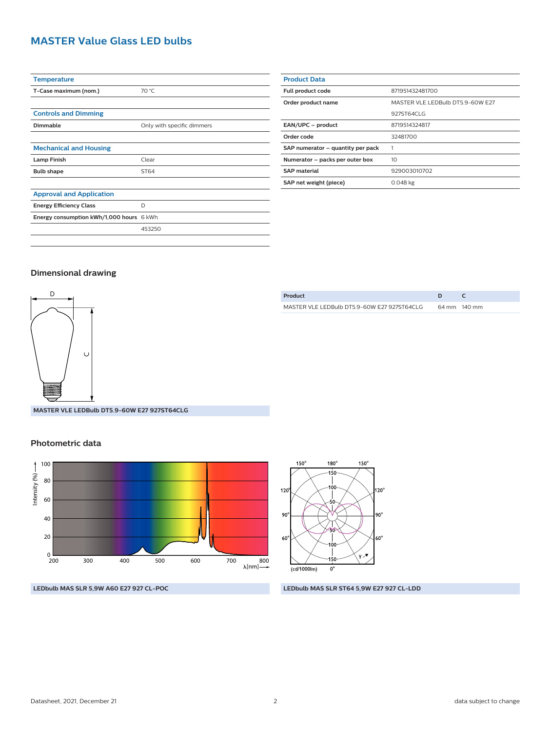# **MASTER Value Glass LED bulbs**

| <b>Temperature</b>                       |                            |
|------------------------------------------|----------------------------|
| T-Case maximum (nom.)                    | 70 °C                      |
|                                          |                            |
| <b>Controls and Dimming</b>              |                            |
| <b>Dimmable</b>                          | Only with specific dimmers |
|                                          |                            |
| <b>Mechanical and Housing</b>            |                            |
| <b>Lamp Finish</b>                       | Clear                      |
| <b>Bulb shape</b>                        | ST64                       |
|                                          |                            |
| <b>Approval and Application</b>          |                            |
| <b>Energy Efficiency Class</b>           | D                          |
| Energy consumption kWh/1,000 hours 6 kWh |                            |
|                                          | 453250                     |
|                                          |                            |

| <b>Product Data</b>               |                                  |  |
|-----------------------------------|----------------------------------|--|
| Full product code                 | 871951432481700                  |  |
| Order product name                | MASTER VLE LEDBulb DT5.9-60W E27 |  |
|                                   | 927ST64CLG                       |  |
| EAN/UPC - product                 | 8719514324817                    |  |
| Order code                        | 32481700                         |  |
| SAP numerator - quantity per pack |                                  |  |
| Numerator - packs per outer box   | 10 <sup>2</sup>                  |  |
| <b>SAP material</b>               | 929003010702                     |  |
| SAP net weight (piece)            | $0.048$ kg                       |  |
|                                   |                                  |  |

#### **Dimensional drawing**



**MASTER VLE LEDBulb DT5.9-60W E27 927ST64CLG**

#### **Photometric data**



| Product                                     |              |
|---------------------------------------------|--------------|
| MASTER VLE LEDBulb DT5.9-60W F27 927ST64CLG | 64 mm 140 mm |



**LEDbulb MAS SLR 5,9W A60 E27 927 CL-POC LEDbulb MAS SLR ST64 5,9W E27 927 CL-LDD**